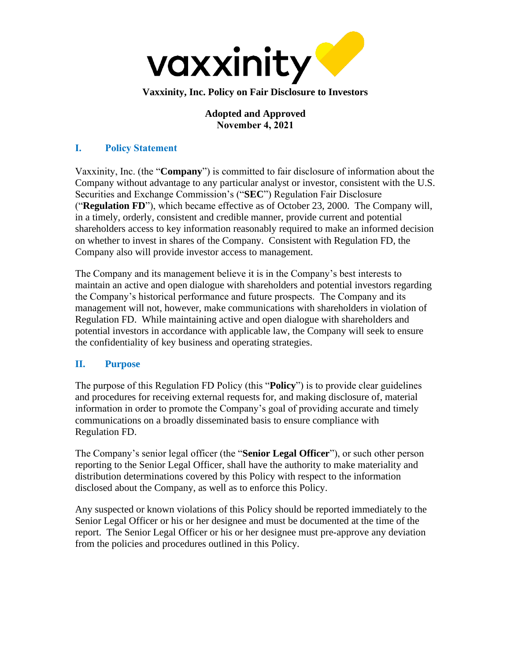

## **Adopted and Approved November 4, 2021**

# **I. Policy Statement**

Vaxxinity, Inc. (the "**Company**") is committed to fair disclosure of information about the Company without advantage to any particular analyst or investor, consistent with the U.S. Securities and Exchange Commission's ("**SEC**") Regulation Fair Disclosure ("**Regulation FD**"), which became effective as of October 23, 2000. The Company will, in a timely, orderly, consistent and credible manner, provide current and potential shareholders access to key information reasonably required to make an informed decision on whether to invest in shares of the Company. Consistent with Regulation FD, the Company also will provide investor access to management.

The Company and its management believe it is in the Company's best interests to maintain an active and open dialogue with shareholders and potential investors regarding the Company's historical performance and future prospects. The Company and its management will not, however, make communications with shareholders in violation of Regulation FD. While maintaining active and open dialogue with shareholders and potential investors in accordance with applicable law, the Company will seek to ensure the confidentiality of key business and operating strategies.

## **II. Purpose**

The purpose of this Regulation FD Policy (this "**Policy**") is to provide clear guidelines and procedures for receiving external requests for, and making disclosure of, material information in order to promote the Company's goal of providing accurate and timely communications on a broadly disseminated basis to ensure compliance with Regulation FD.

The Company's senior legal officer (the "**Senior Legal Officer**"), or such other person reporting to the Senior Legal Officer, shall have the authority to make materiality and distribution determinations covered by this Policy with respect to the information disclosed about the Company, as well as to enforce this Policy.

Any suspected or known violations of this Policy should be reported immediately to the Senior Legal Officer or his or her designee and must be documented at the time of the report. The Senior Legal Officer or his or her designee must pre-approve any deviation from the policies and procedures outlined in this Policy.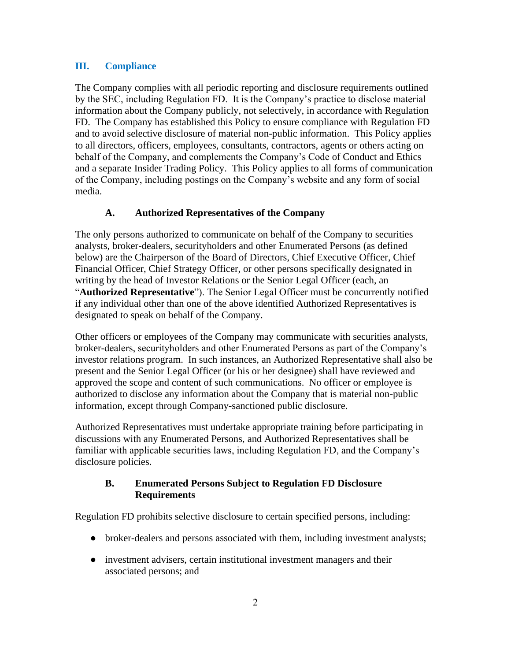#### **III. Compliance**

The Company complies with all periodic reporting and disclosure requirements outlined by the SEC, including Regulation FD. It is the Company's practice to disclose material information about the Company publicly, not selectively, in accordance with Regulation FD. The Company has established this Policy to ensure compliance with Regulation FD and to avoid selective disclosure of material non-public information. This Policy applies to all directors, officers, employees, consultants, contractors, agents or others acting on behalf of the Company, and complements the Company's Code of Conduct and Ethics and a separate Insider Trading Policy. This Policy applies to all forms of communication of the Company, including postings on the Company's website and any form of social media.

#### **A. Authorized Representatives of the Company**

The only persons authorized to communicate on behalf of the Company to securities analysts, broker-dealers, securityholders and other Enumerated Persons (as defined below) are the Chairperson of the Board of Directors, Chief Executive Officer, Chief Financial Officer, Chief Strategy Officer, or other persons specifically designated in writing by the head of Investor Relations or the Senior Legal Officer (each, an "**Authorized Representative**"). The Senior Legal Officer must be concurrently notified if any individual other than one of the above identified Authorized Representatives is designated to speak on behalf of the Company.

Other officers or employees of the Company may communicate with securities analysts, broker-dealers, securityholders and other Enumerated Persons as part of the Company's investor relations program. In such instances, an Authorized Representative shall also be present and the Senior Legal Officer (or his or her designee) shall have reviewed and approved the scope and content of such communications. No officer or employee is authorized to disclose any information about the Company that is material non-public information, except through Company-sanctioned public disclosure.

Authorized Representatives must undertake appropriate training before participating in discussions with any Enumerated Persons, and Authorized Representatives shall be familiar with applicable securities laws, including Regulation FD, and the Company's disclosure policies.

#### **B. Enumerated Persons Subject to Regulation FD Disclosure Requirements**

Regulation FD prohibits selective disclosure to certain specified persons, including:

- broker-dealers and persons associated with them, including investment analysts;
- investment advisers, certain institutional investment managers and their associated persons; and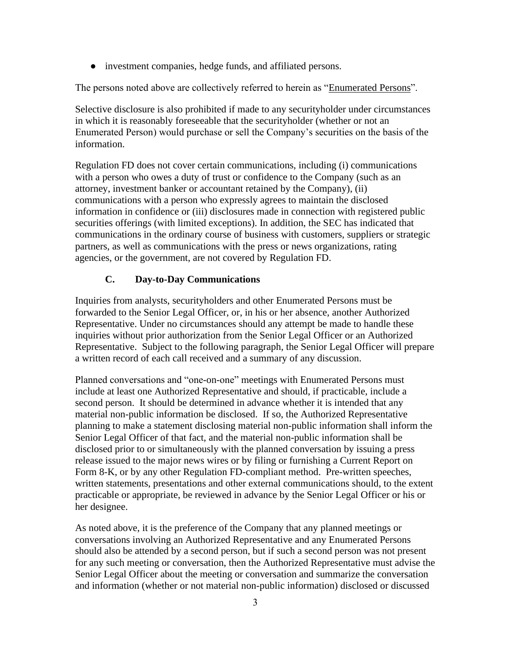• investment companies, hedge funds, and affiliated persons.

The persons noted above are collectively referred to herein as "Enumerated Persons".

Selective disclosure is also prohibited if made to any securityholder under circumstances in which it is reasonably foreseeable that the securityholder (whether or not an Enumerated Person) would purchase or sell the Company's securities on the basis of the information.

Regulation FD does not cover certain communications, including (i) communications with a person who owes a duty of trust or confidence to the Company (such as an attorney, investment banker or accountant retained by the Company), (ii) communications with a person who expressly agrees to maintain the disclosed information in confidence or (iii) disclosures made in connection with registered public securities offerings (with limited exceptions). In addition, the SEC has indicated that communications in the ordinary course of business with customers, suppliers or strategic partners, as well as communications with the press or news organizations, rating agencies, or the government, are not covered by Regulation FD.

# **C. Day-to-Day Communications**

Inquiries from analysts, securityholders and other Enumerated Persons must be forwarded to the Senior Legal Officer, or, in his or her absence, another Authorized Representative. Under no circumstances should any attempt be made to handle these inquiries without prior authorization from the Senior Legal Officer or an Authorized Representative. Subject to the following paragraph, the Senior Legal Officer will prepare a written record of each call received and a summary of any discussion.

Planned conversations and "one-on-one" meetings with Enumerated Persons must include at least one Authorized Representative and should, if practicable, include a second person. It should be determined in advance whether it is intended that any material non-public information be disclosed. If so, the Authorized Representative planning to make a statement disclosing material non-public information shall inform the Senior Legal Officer of that fact, and the material non-public information shall be disclosed prior to or simultaneously with the planned conversation by issuing a press release issued to the major news wires or by filing or furnishing a Current Report on Form 8-K, or by any other Regulation FD-compliant method. Pre-written speeches, written statements, presentations and other external communications should, to the extent practicable or appropriate, be reviewed in advance by the Senior Legal Officer or his or her designee.

As noted above, it is the preference of the Company that any planned meetings or conversations involving an Authorized Representative and any Enumerated Persons should also be attended by a second person, but if such a second person was not present for any such meeting or conversation, then the Authorized Representative must advise the Senior Legal Officer about the meeting or conversation and summarize the conversation and information (whether or not material non-public information) disclosed or discussed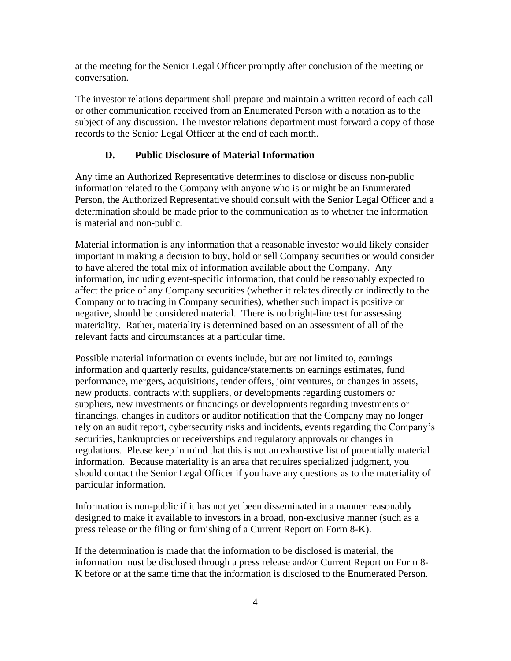at the meeting for the Senior Legal Officer promptly after conclusion of the meeting or conversation.

The investor relations department shall prepare and maintain a written record of each call or other communication received from an Enumerated Person with a notation as to the subject of any discussion. The investor relations department must forward a copy of those records to the Senior Legal Officer at the end of each month.

## **D. Public Disclosure of Material Information**

Any time an Authorized Representative determines to disclose or discuss non-public information related to the Company with anyone who is or might be an Enumerated Person, the Authorized Representative should consult with the Senior Legal Officer and a determination should be made prior to the communication as to whether the information is material and non-public.

Material information is any information that a reasonable investor would likely consider important in making a decision to buy, hold or sell Company securities or would consider to have altered the total mix of information available about the Company. Any information, including event-specific information, that could be reasonably expected to affect the price of any Company securities (whether it relates directly or indirectly to the Company or to trading in Company securities), whether such impact is positive or negative, should be considered material. There is no bright-line test for assessing materiality. Rather, materiality is determined based on an assessment of all of the relevant facts and circumstances at a particular time.

Possible material information or events include, but are not limited to, earnings information and quarterly results, guidance/statements on earnings estimates, fund performance, mergers, acquisitions, tender offers, joint ventures, or changes in assets, new products, contracts with suppliers, or developments regarding customers or suppliers, new investments or financings or developments regarding investments or financings, changes in auditors or auditor notification that the Company may no longer rely on an audit report, cybersecurity risks and incidents, events regarding the Company's securities, bankruptcies or receiverships and regulatory approvals or changes in regulations. Please keep in mind that this is not an exhaustive list of potentially material information. Because materiality is an area that requires specialized judgment, you should contact the Senior Legal Officer if you have any questions as to the materiality of particular information.

Information is non-public if it has not yet been disseminated in a manner reasonably designed to make it available to investors in a broad, non-exclusive manner (such as a press release or the filing or furnishing of a Current Report on Form 8-K).

If the determination is made that the information to be disclosed is material, the information must be disclosed through a press release and/or Current Report on Form 8- K before or at the same time that the information is disclosed to the Enumerated Person.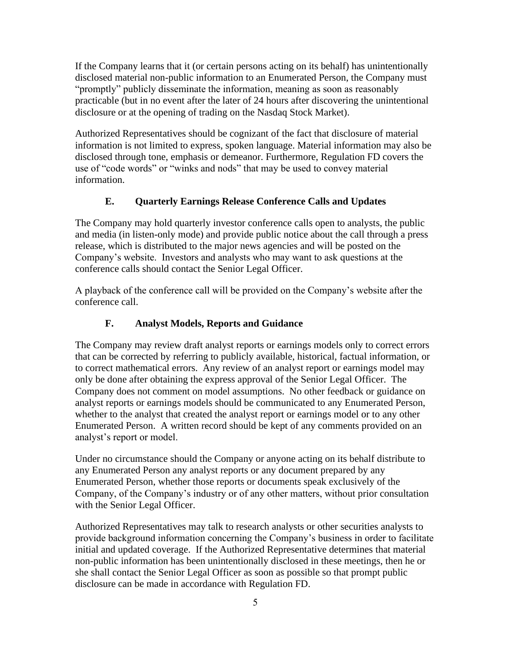If the Company learns that it (or certain persons acting on its behalf) has unintentionally disclosed material non-public information to an Enumerated Person, the Company must "promptly" publicly disseminate the information, meaning as soon as reasonably practicable (but in no event after the later of 24 hours after discovering the unintentional disclosure or at the opening of trading on the Nasdaq Stock Market).

Authorized Representatives should be cognizant of the fact that disclosure of material information is not limited to express, spoken language. Material information may also be disclosed through tone, emphasis or demeanor. Furthermore, Regulation FD covers the use of "code words" or "winks and nods" that may be used to convey material information.

#### **E. Quarterly Earnings Release Conference Calls and Updates**

The Company may hold quarterly investor conference calls open to analysts, the public and media (in listen-only mode) and provide public notice about the call through a press release, which is distributed to the major news agencies and will be posted on the Company's website. Investors and analysts who may want to ask questions at the conference calls should contact the Senior Legal Officer.

A playback of the conference call will be provided on the Company's website after the conference call.

#### **F. Analyst Models, Reports and Guidance**

The Company may review draft analyst reports or earnings models only to correct errors that can be corrected by referring to publicly available, historical, factual information, or to correct mathematical errors. Any review of an analyst report or earnings model may only be done after obtaining the express approval of the Senior Legal Officer. The Company does not comment on model assumptions. No other feedback or guidance on analyst reports or earnings models should be communicated to any Enumerated Person, whether to the analyst that created the analyst report or earnings model or to any other Enumerated Person. A written record should be kept of any comments provided on an analyst's report or model.

Under no circumstance should the Company or anyone acting on its behalf distribute to any Enumerated Person any analyst reports or any document prepared by any Enumerated Person, whether those reports or documents speak exclusively of the Company, of the Company's industry or of any other matters, without prior consultation with the Senior Legal Officer.

Authorized Representatives may talk to research analysts or other securities analysts to provide background information concerning the Company's business in order to facilitate initial and updated coverage. If the Authorized Representative determines that material non-public information has been unintentionally disclosed in these meetings, then he or she shall contact the Senior Legal Officer as soon as possible so that prompt public disclosure can be made in accordance with Regulation FD.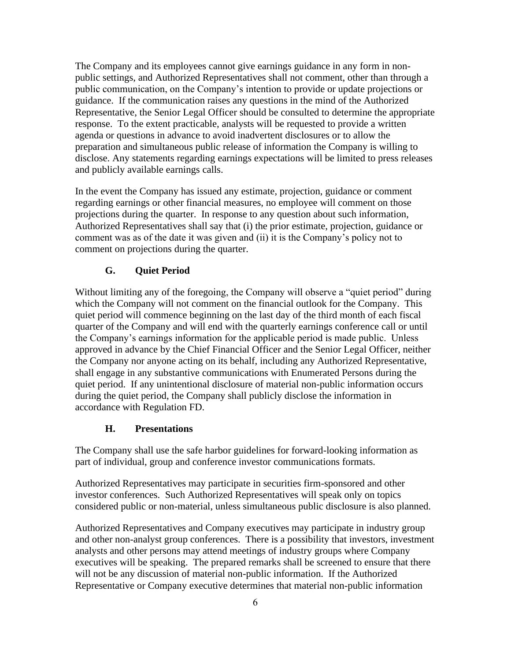The Company and its employees cannot give earnings guidance in any form in nonpublic settings, and Authorized Representatives shall not comment, other than through a public communication, on the Company's intention to provide or update projections or guidance. If the communication raises any questions in the mind of the Authorized Representative, the Senior Legal Officer should be consulted to determine the appropriate response. To the extent practicable, analysts will be requested to provide a written agenda or questions in advance to avoid inadvertent disclosures or to allow the preparation and simultaneous public release of information the Company is willing to disclose. Any statements regarding earnings expectations will be limited to press releases and publicly available earnings calls.

In the event the Company has issued any estimate, projection, guidance or comment regarding earnings or other financial measures, no employee will comment on those projections during the quarter. In response to any question about such information, Authorized Representatives shall say that (i) the prior estimate, projection, guidance or comment was as of the date it was given and (ii) it is the Company's policy not to comment on projections during the quarter.

#### **G. Quiet Period**

Without limiting any of the foregoing, the Company will observe a "quiet period" during which the Company will not comment on the financial outlook for the Company. This quiet period will commence beginning on the last day of the third month of each fiscal quarter of the Company and will end with the quarterly earnings conference call or until the Company's earnings information for the applicable period is made public. Unless approved in advance by the Chief Financial Officer and the Senior Legal Officer, neither the Company nor anyone acting on its behalf, including any Authorized Representative, shall engage in any substantive communications with Enumerated Persons during the quiet period. If any unintentional disclosure of material non-public information occurs during the quiet period, the Company shall publicly disclose the information in accordance with Regulation FD.

#### **H. Presentations**

The Company shall use the safe harbor guidelines for forward-looking information as part of individual, group and conference investor communications formats.

Authorized Representatives may participate in securities firm-sponsored and other investor conferences. Such Authorized Representatives will speak only on topics considered public or non-material, unless simultaneous public disclosure is also planned.

Authorized Representatives and Company executives may participate in industry group and other non-analyst group conferences. There is a possibility that investors, investment analysts and other persons may attend meetings of industry groups where Company executives will be speaking. The prepared remarks shall be screened to ensure that there will not be any discussion of material non-public information. If the Authorized Representative or Company executive determines that material non-public information